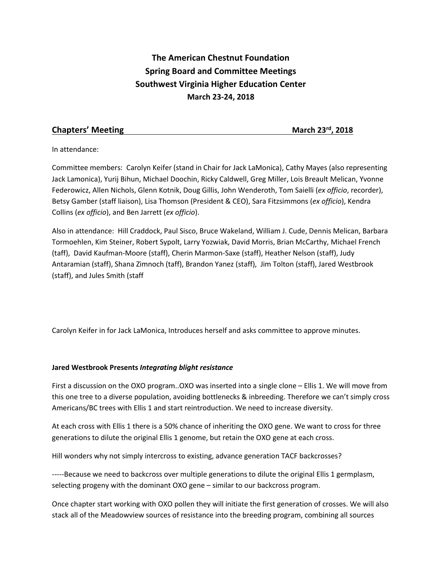# **The American Chestnut Foundation Spring Board and Committee Meetings Southwest Virginia Higher Education Center March 23-24, 2018**

# **Chapters' Meeting March 23rd, 2018**

In attendance:

Committee members: Carolyn Keifer (stand in Chair for Jack LaMonica), Cathy Mayes (also representing Jack Lamonica), Yurij Bihun, Michael Doochin, Ricky Caldwell, Greg Miller, Lois Breault Melican, Yvonne Federowicz, Allen Nichols, Glenn Kotnik, Doug Gillis, John Wenderoth, Tom Saielli (*ex officio*, recorder), Betsy Gamber (staff liaison), Lisa Thomson (President & CEO), Sara Fitzsimmons (*ex officio*), Kendra Collins (*ex officio*), and Ben Jarrett (*ex officio*).

Also in attendance: Hill Craddock, Paul Sisco, Bruce Wakeland, William J. Cude, Dennis Melican, Barbara Tormoehlen, Kim Steiner, Robert Sypolt, Larry Yozwiak, David Morris, Brian McCarthy, Michael French (taff), David Kaufman-Moore (staff), Cherin Marmon-Saxe (staff), Heather Nelson (staff), Judy Antaramian (staff), Shana Zimnoch (taff), Brandon Yanez (staff), Jim Tolton (staff), Jared Westbrook (staff), and Jules Smith (staff

Carolyn Keifer in for Jack LaMonica, Introduces herself and asks committee to approve minutes.

# **Jared Westbrook Presents** *Integrating blight resistance*

First a discussion on the OXO program..OXO was inserted into a single clone – Ellis 1. We will move from this one tree to a diverse population, avoiding bottlenecks & inbreeding. Therefore we can't simply cross Americans/BC trees with Ellis 1 and start reintroduction. We need to increase diversity.

At each cross with Ellis 1 there is a 50% chance of inheriting the OXO gene. We want to cross for three generations to dilute the original Ellis 1 genome, but retain the OXO gene at each cross.

Hill wonders why not simply intercross to existing, advance generation TACF backcrosses?

-----Because we need to backcross over multiple generations to dilute the original Ellis 1 germplasm, selecting progeny with the dominant OXO gene – similar to our backcross program.

Once chapter start working with OXO pollen they will initiate the first generation of crosses. We will also stack all of the Meadowview sources of resistance into the breeding program, combining all sources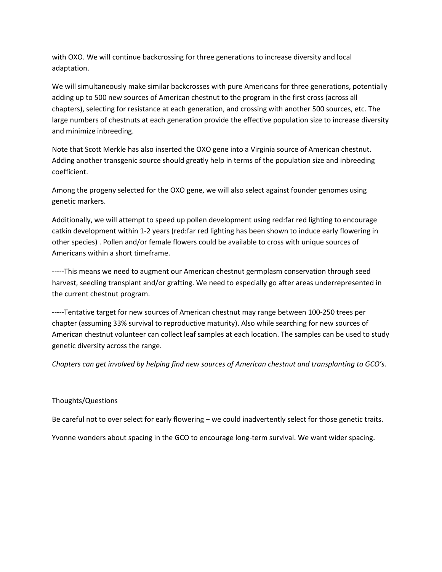with OXO. We will continue backcrossing for three generations to increase diversity and local adaptation.

We will simultaneously make similar backcrosses with pure Americans for three generations, potentially adding up to 500 new sources of American chestnut to the program in the first cross (across all chapters), selecting for resistance at each generation, and crossing with another 500 sources, etc. The large numbers of chestnuts at each generation provide the effective population size to increase diversity and minimize inbreeding.

Note that Scott Merkle has also inserted the OXO gene into a Virginia source of American chestnut. Adding another transgenic source should greatly help in terms of the population size and inbreeding coefficient.

Among the progeny selected for the OXO gene, we will also select against founder genomes using genetic markers.

Additionally, we will attempt to speed up pollen development using red:far red lighting to encourage catkin development within 1-2 years (red:far red lighting has been shown to induce early flowering in other species) . Pollen and/or female flowers could be available to cross with unique sources of Americans within a short timeframe.

-----This means we need to augment our American chestnut germplasm conservation through seed harvest, seedling transplant and/or grafting. We need to especially go after areas underrepresented in the current chestnut program.

-----Tentative target for new sources of American chestnut may range between 100-250 trees per chapter (assuming 33% survival to reproductive maturity). Also while searching for new sources of American chestnut volunteer can collect leaf samples at each location. The samples can be used to study genetic diversity across the range.

*Chapters can get involved by helping find new sources of American chestnut and transplanting to GCO's.* 

#### Thoughts/Questions

Be careful not to over select for early flowering – we could inadvertently select for those genetic traits.

Yvonne wonders about spacing in the GCO to encourage long-term survival. We want wider spacing.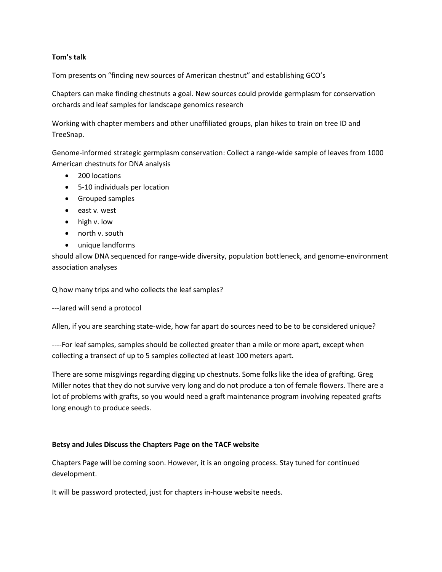# **Tom's talk**

Tom presents on "finding new sources of American chestnut" and establishing GCO's

Chapters can make finding chestnuts a goal. New sources could provide germplasm for conservation orchards and leaf samples for landscape genomics research

Working with chapter members and other unaffiliated groups, plan hikes to train on tree ID and TreeSnap.

Genome-informed strategic germplasm conservation: Collect a range-wide sample of leaves from 1000 American chestnuts for DNA analysis

- 200 locations
- 5-10 individuals per location
- Grouped samples
- east v. west
- high v. low
- north v. south
- unique landforms

should allow DNA sequenced for range-wide diversity, population bottleneck, and genome-environment association analyses

Q how many trips and who collects the leaf samples?

---Jared will send a protocol

Allen, if you are searching state-wide, how far apart do sources need to be to be considered unique?

----For leaf samples, samples should be collected greater than a mile or more apart, except when collecting a transect of up to 5 samples collected at least 100 meters apart.

There are some misgivings regarding digging up chestnuts. Some folks like the idea of grafting. Greg Miller notes that they do not survive very long and do not produce a ton of female flowers. There are a lot of problems with grafts, so you would need a graft maintenance program involving repeated grafts long enough to produce seeds.

#### **Betsy and Jules Discuss the Chapters Page on the TACF website**

Chapters Page will be coming soon. However, it is an ongoing process. Stay tuned for continued development.

It will be password protected, just for chapters in-house website needs.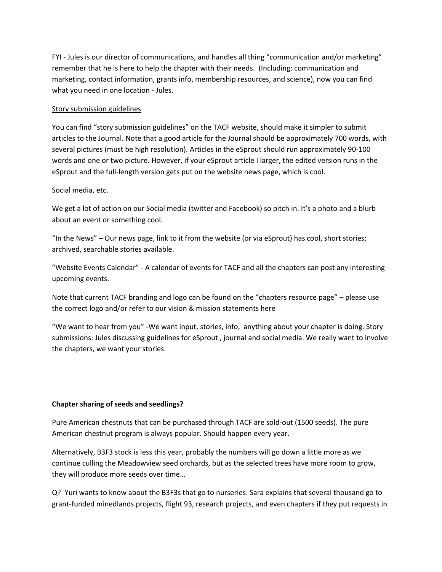FYI - Jules is our director of communications, and handles all thing "communication and/or marketing" remember that he is here to help the chapter with their needs. (Including: communication and marketing, contact information, grants info, membership resources, and science), now you can find what you need in one location - Jules.

#### Story submission guidelines

You can find "story submission guidelines" on the TACF website, should make it simpler to submit articles to the Journal. Note that a good article for the Journal should be approximately 700 words, with several pictures (must be high resolution). Articles in the eSprout should run approximately 90-100 words and one or two picture. However, if your eSprout article I larger, the edited version runs in the eSprout and the full-length version gets put on the website news page, which is cool.

# Social media, etc.

We get a lot of action on our Social media (twitter and Facebook) so pitch in. It's a photo and a blurb about an event or something cool.

"In the News" – Our news page, link to it from the website (or via eSprout) has cool, short stories; archived, searchable stories available.

"Website Events Calendar" - A calendar of events for TACF and all the chapters can post any interesting upcoming events.

Note that current TACF branding and logo can be found on the "chapters resource page" – please use the correct logo and/or refer to our vision & mission statements here

"We want to hear from you" -We want input, stories, info, anything about your chapter is doing. Story submissions: Jules discussing guidelines for eSprout , journal and social media. We really want to involve the chapters, we want your stories.

#### **Chapter sharing of seeds and seedlings?**

Pure American chestnuts that can be purchased through TACF are sold-out (1500 seeds). The pure American chestnut program is always popular. Should happen every year.

Alternatively, B3F3 stock is less this year, probably the numbers will go down a little more as we continue culling the Meadowview seed orchards, but as the selected trees have more room to grow, they will produce more seeds over time…

Q? Yuri wants to know about the B3F3s that go to nurseries. Sara explains that several thousand go to grant-funded minedlands projects, flight 93, research projects, and even chapters if they put requests in